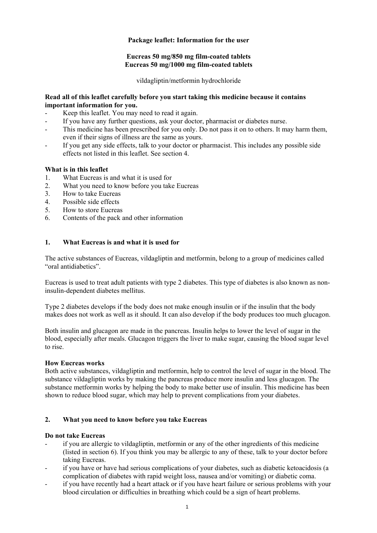## **Package leaflet: Information for the user**

## **Eucreas 50 mg/850 mg film-coated tablets Eucreas 50 mg/1000 mg film-coated tablets**

vildagliptin/metformin hydrochloride

## **Read all of this leaflet carefully before you start taking this medicine because it contains important information for you.**

- Keep this leaflet. You may need to read it again.
- If you have any further questions, ask your doctor, pharmacist or diabetes nurse.
- This medicine has been prescribed for you only. Do not pass it on to others. It may harm them, even if their signs of illness are the same as yours.
- If you get any side effects, talk to your doctor or pharmacist. This includes any possible side effects not listed in this leaflet. See section 4.

## **What is in this leaflet**

- 1. What Eucreas is and what it is used for
- 2. What you need to know before you take Eucreas
- 3. How to take Eucreas
- 4. Possible side effects
- 5. How to store Eucreas
- 6. Contents of the pack and other information

## **1. What Eucreas is and what it is used for**

The active substances of Eucreas, vildagliptin and metformin, belong to a group of medicines called "oral antidiabetics".

Eucreas is used to treat adult patients with type 2 diabetes. This type of diabetes is also known as noninsulin-dependent diabetes mellitus.

Type 2 diabetes develops if the body does not make enough insulin or if the insulin that the body makes does not work as well as it should. It can also develop if the body produces too much glucagon.

Both insulin and glucagon are made in the pancreas. Insulin helps to lower the level of sugar in the blood, especially after meals. Glucagon triggers the liver to make sugar, causing the blood sugar level to rise.

## **How Eucreas works**

Both active substances, vildagliptin and metformin, help to control the level of sugar in the blood. The substance vildagliptin works by making the pancreas produce more insulin and less glucagon. The substance metformin works by helping the body to make better use of insulin. This medicine has been shown to reduce blood sugar, which may help to prevent complications from your diabetes.

## **2. What you need to know before you take Eucreas**

## **Do not take Eucreas**

- if you are allergic to vildagliptin, metformin or any of the other ingredients of this medicine (listed in section 6). If you think you may be allergic to any of these, talk to your doctor before taking Eucreas.
- if you have or have had serious complications of your diabetes, such as diabetic ketoacidosis (a complication of diabetes with rapid weight loss, nausea and/or vomiting) or diabetic coma.
- if you have recently had a heart attack or if you have heart failure or serious problems with your blood circulation or difficulties in breathing which could be a sign of heart problems.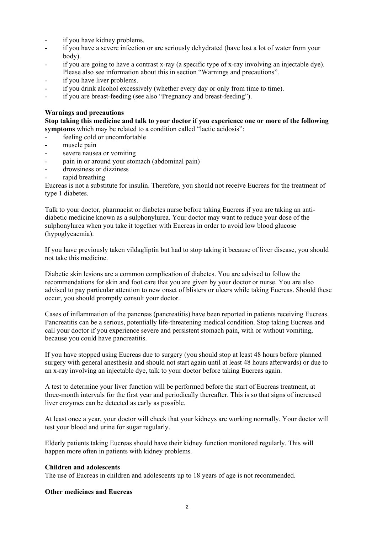- if you have kidney problems.
- if you have a severe infection or are seriously dehydrated (have lost a lot of water from your body).
- if you are going to have a contrast x-ray (a specific type of x-ray involving an injectable dye).
- Please also see information about this in section "Warnings and precautions".
- if you have liver problems.
- if you drink alcohol excessively (whether every day or only from time to time).
- if you are breast-feeding (see also "Pregnancy and breast-feeding").

## **Warnings and precautions**

**Stop taking this medicine and talk to your doctor if you experience one or more of the following symptoms** which may be related to a condition called "lactic acidosis":

- feeling cold or uncomfortable
- muscle pain
- severe nausea or vomiting
- pain in or around your stomach (abdominal pain)
- drowsiness or dizziness
- rapid breathing

Eucreas is not a substitute for insulin. Therefore, you should not receive Eucreas for the treatment of type 1 diabetes.

Talk to your doctor, pharmacist or diabetes nurse before taking Eucreas if you are taking an antidiabetic medicine known as a sulphonylurea. Your doctor may want to reduce your dose of the sulphonylurea when you take it together with Eucreas in order to avoid low blood glucose (hypoglycaemia).

If you have previously taken vildagliptin but had to stop taking it because of liver disease, you should not take this medicine.

Diabetic skin lesions are a common complication of diabetes. You are advised to follow the recommendations for skin and foot care that you are given by your doctor or nurse. You are also advised to pay particular attention to new onset of blisters or ulcers while taking Eucreas. Should these occur, you should promptly consult your doctor.

Cases of inflammation of the pancreas (pancreatitis) have been reported in patients receiving Eucreas. Pancreatitis can be a serious, potentially life-threatening medical condition. Stop taking Eucreas and call your doctor if you experience severe and persistent stomach pain, with or without vomiting, because you could have pancreatitis.

If you have stopped using Eucreas due to surgery (you should stop at least 48 hours before planned surgery with general anesthesia and should not start again until at least 48 hours afterwards) or due to an x-ray involving an injectable dye, talk to your doctor before taking Eucreas again.

A test to determine your liver function will be performed before the start of Eucreas treatment, at three-month intervals for the first year and periodically thereafter. This is so that signs of increased liver enzymes can be detected as early as possible.

At least once a year, your doctor will check that your kidneys are working normally. Your doctor will test your blood and urine for sugar regularly.

Elderly patients taking Eucreas should have their kidney function monitored regularly. This will happen more often in patients with kidney problems.

## **Children and adolescents**

The use of Eucreas in children and adolescents up to 18 years of age is not recommended.

## **Other medicines and Eucreas**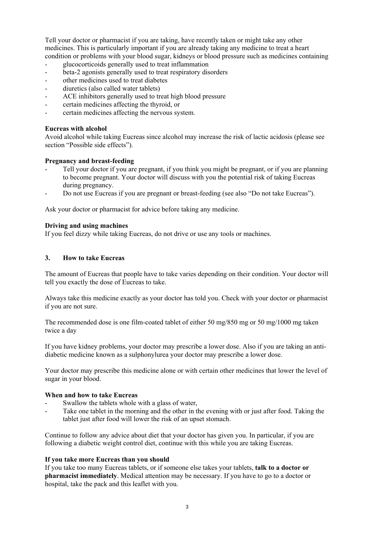Tell your doctor or pharmacist if you are taking, have recently taken or might take any other medicines. This is particularly important if you are already taking any medicine to treat a heart condition or problems with your blood sugar, kidneys or blood pressure such as medicines containing

- glucocorticoids generally used to treat inflammation
- beta-2 agonists generally used to treat respiratory disorders
- other medicines used to treat diabetes
- diuretics (also called water tablets)
- ACE inhibitors generally used to treat high blood pressure
- certain medicines affecting the thyroid, or
- certain medicines affecting the nervous system.

## **Eucreas with alcohol**

Avoid alcohol while taking Eucreas since alcohol may increase the risk of lactic acidosis (please see section "Possible side effects").

## **Pregnancy and breast-feeding**

- Tell your doctor if you are pregnant, if you think you might be pregnant, or if you are planning to become pregnant. Your doctor will discuss with you the potential risk of taking Eucreas during pregnancy.
- Do not use Eucreas if you are pregnant or breast-feeding (see also "Do not take Eucreas").

Ask your doctor or pharmacist for advice before taking any medicine.

## **Driving and using machines**

If you feel dizzy while taking Eucreas, do not drive or use any tools or machines.

## **3. How to take Eucreas**

The amount of Eucreas that people have to take varies depending on their condition. Your doctor will tell you exactly the dose of Eucreas to take.

Always take this medicine exactly as your doctor has told you. Check with your doctor or pharmacist if you are not sure.

The recommended dose is one film-coated tablet of either 50 mg/850 mg or 50 mg/1000 mg taken twice a day

If you have kidney problems, your doctor may prescribe a lower dose. Also if you are taking an antidiabetic medicine known as a sulphonylurea your doctor may prescribe a lower dose.

Your doctor may prescribe this medicine alone or with certain other medicines that lower the level of sugar in your blood.

## **When and how to take Eucreas**

- Swallow the tablets whole with a glass of water,
- Take one tablet in the morning and the other in the evening with or just after food. Taking the tablet just after food will lower the risk of an upset stomach.

Continue to follow any advice about diet that your doctor has given you. In particular, if you are following a diabetic weight control diet, continue with this while you are taking Eucreas.

## **If you take more Eucreas than you should**

If you take too many Eucreas tablets, or if someone else takes your tablets, **talk to a doctor or pharmacist immediately**. Medical attention may be necessary. If you have to go to a doctor or hospital, take the pack and this leaflet with you.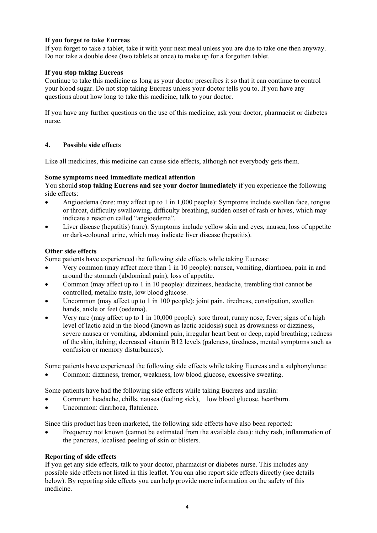## **If you forget to take Eucreas**

If you forget to take a tablet, take it with your next meal unless you are due to take one then anyway. Do not take a double dose (two tablets at once) to make up for a forgotten tablet.

## **If you stop taking Eucreas**

Continue to take this medicine as long as your doctor prescribes it so that it can continue to control your blood sugar. Do not stop taking Eucreas unless your doctor tells you to. If you have any questions about how long to take this medicine, talk to your doctor.

If you have any further questions on the use of this medicine, ask your doctor, pharmacist or diabetes nurse.

## **4. Possible side effects**

Like all medicines, this medicine can cause side effects, although not everybody gets them.

## **Some symptoms need immediate medical attention**

You should **stop taking Eucreas and see your doctor immediately** if you experience the following side effects:

- Angioedema (rare: may affect up to 1 in 1,000 people): Symptoms include swollen face, tongue or throat, difficulty swallowing, difficulty breathing, sudden onset of rash or hives, which may indicate a reaction called "angioedema".
- Liver disease (hepatitis) (rare): Symptoms include yellow skin and eyes, nausea, loss of appetite or dark-coloured urine, which may indicate liver disease (hepatitis).

## **Other side effects**

Some patients have experienced the following side effects while taking Eucreas:

- Very common (may affect more than 1 in 10 people): nausea, vomiting, diarrhoea, pain in and around the stomach (abdominal pain), loss of appetite.
- Common (may affect up to 1 in 10 people): dizziness, headache, trembling that cannot be controlled, metallic taste, low blood glucose.
- Uncommon (may affect up to 1 in 100 people): joint pain, tiredness, constipation, swollen hands, ankle or feet (oedema).
- Very rare (may affect up to 1 in 10,000 people): sore throat, runny nose, fever; signs of a high level of lactic acid in the blood (known as lactic acidosis) such as drowsiness or dizziness, severe nausea or vomiting, abdominal pain, irregular heart beat or deep, rapid breathing; redness of the skin, itching; decreased vitamin B12 levels (paleness, tiredness, mental symptoms such as confusion or memory disturbances).

Some patients have experienced the following side effects while taking Eucreas and a sulphonylurea:

Common: dizziness, tremor, weakness, low blood glucose, excessive sweating.

Some patients have had the following side effects while taking Eucreas and insulin:

- Common: headache, chills, nausea (feeling sick), low blood glucose, heartburn.
- Uncommon: diarrhoea, flatulence.

Since this product has been marketed, the following side effects have also been reported:

 Frequency not known (cannot be estimated from the available data): itchy rash, inflammation of the pancreas, localised peeling of skin or blisters.

## **Reporting of side effects**

If you get any side effects, talk to your doctor, pharmacist or diabetes nurse. This includes any possible side effects not listed in this leaflet. You can also report side effects directly (see details below). By reporting side effects you can help provide more information on the safety of this medicine.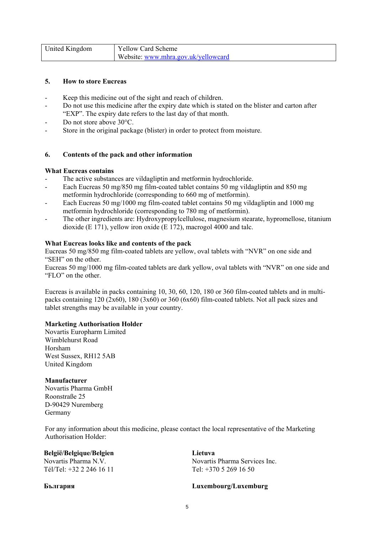| United Kingdom | <b>Yellow Card Scheme</b>           |
|----------------|-------------------------------------|
|                | Website: www.mhra.gov.uk/yellowcard |

## **5. How to store Eucreas**

- Keep this medicine out of the sight and reach of children.
- Do not use this medicine after the expiry date which is stated on the blister and carton after "EXP". The expiry date refers to the last day of that month.
- Do not store above  $30^{\circ}$ C.
- Store in the original package (blister) in order to protect from moisture.

#### **6. Contents of the pack and other information**

#### **What Eucreas contains**

- The active substances are vildagliptin and metformin hydrochloride.
- Each Eucreas 50 mg/850 mg film-coated tablet contains 50 mg vildagliptin and 850 mg metformin hydrochloride (corresponding to 660 mg of metformin).
- Each Eucreas 50 mg/1000 mg film-coated tablet contains 50 mg vildagliptin and 1000 mg metformin hydrochloride (corresponding to 780 mg of metformin).
- The other ingredients are: Hydroxypropylcellulose, magnesium stearate, hypromellose, titanium dioxide (E 171), yellow iron oxide (E 172), macrogol 4000 and talc.

#### **What Eucreas looks like and contents of the pack**

Eucreas 50 mg/850 mg film-coated tablets are yellow, oval tablets with "NVR" on one side and "SEH" on the other.

Eucreas 50 mg/1000 mg film-coated tablets are dark yellow, oval tablets with "NVR" on one side and "FLO" on the other.

Eucreas is available in packs containing 10, 30, 60, 120, 180 or 360 film-coated tablets and in multipacks containing 120 (2x60), 180 (3x60) or 360 (6x60) film-coated tablets. Not all pack sizes and tablet strengths may be available in your country.

## **Marketing Authorisation Holder**

Novartis Europharm Limited Wimblehurst Road Horsham West Sussex, RH12 5AB United Kingdom

#### **Manufacturer**

Novartis Pharma GmbH Roonstraße 25 D-90429 Nuremberg Germany

For any information about this medicine, please contact the local representative of the Marketing Authorisation Holder:

## **België/Belgique/Belgien**

Novartis Pharma N.V. Tél/Tel: +32 2 246 16 11

**Lietuva**  Novartis Pharma Services Inc. Tel: +370 5 269 16 50

## **България Luxembourg/Luxemburg**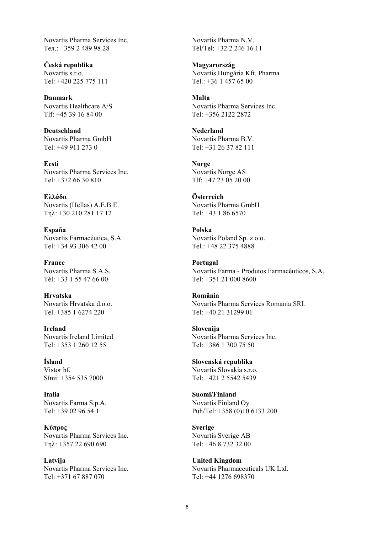Novartis Pharma Services Inc.  $Ten: +35924899828$ 

**Česká republika**  Novartis s.r.o. Tel: +420 225 775 111

**Danmark**  Novartis Healthcare A/S Tlf: +45 39 16 84 00

**Deutschland**  Novartis Pharma GmbH Tel:  $+499112730$ 

**Eesti**  Novartis Pharma Services Inc. Tel: +372 66 30 810

**Ελλάδα** Novartis (Hellas) A.E.B.E. Τηλ: +30 210 281 17 12

**España**  Novartis Farmacéutica, S.A. Tel: +34 93 306 42 00

**France**  Novartis Pharma S.A.S. Tél: +33 1 55 47 66 00

**Hrvatska**  Novartis Hrvatska d.o.o. Tel. +385 1 6274 220

**Ireland**  Novartis Ireland Limited Tel: +353 1 260 12 55

**Ísland**  Vistor hf. Sími: +354 535 7000

**Italia**  Novartis Farma S.p.A. Tel: +39 02 96 54 1

**Κύπρος** Novartis Pharma Services Inc. Τηλ: +357 22 690 690

**Latvija**  Novartis Pharma Services Inc. Tel: +371 67 887 070

Novartis Pharma N.V. Tél/Tel: +32 2 246 16 11

**Magyarország**  Novartis Hungária Kft. Pharma Tel.: +36 1 457 65 00

**Malta**  Novartis Pharma Services Inc. Tel: +356 2122 2872

**Nederland**  Novartis Pharma B.V. Tel: +31 26 37 82 111

**Norge**  Novartis Norge AS Tlf: +47 23 05 20 00

**Österreich**  Novartis Pharma GmbH Tel: +43 1 86 6570

**Polska**  Novartis Poland Sp. z o.o. Tel.: +48 22 375 4888

**Portugal**  Novartis Farma - Produtos Farmacêuticos, S.A. Tel: +351 21 000 8600

**România**  Novartis Pharma Services Romania SRL Tel: +40 21 31299 01

**Slovenija**  Novartis Pharma Services Inc. Tel: +386 1 300 75 50

**Slovenská republika**  Novartis Slovakia s.r.o. Tel: +421 2 5542 5439

**Suomi/Finland**  Novartis Finland Oy Puh/Tel: +358 (0)10 6133 200

**Sverige**  Novartis Sverige AB Tel: +46 8 732 32 00

**United Kingdom**  Novartis Pharmaceuticals UK Ltd. Tel: +44 1276 698370